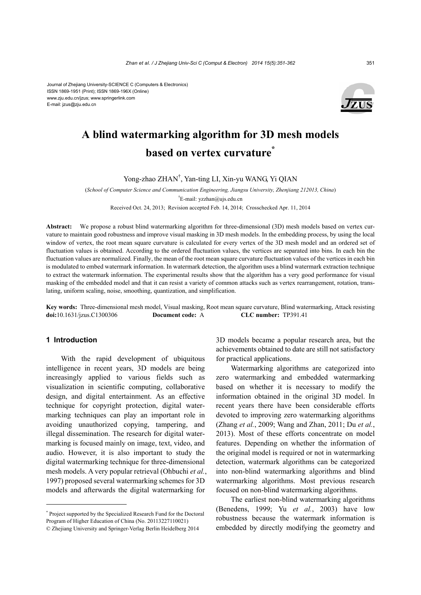

# **A blind watermarking algorithm for 3D mesh models based on vertex curvature\***

Yong-zhao ZHAN† , Yan-ting LI, Xin-yu WANG, Yi QIAN

(*School of Computer Science and Communication Engineering, Jiangsu University, Zhenjiang 212013, China*) † E-mail: yzzhan@ujs.edu.cn

Received Oct. 24, 2013; Revision accepted Feb. 14, 2014; Crosschecked Apr. 11, 2014

**Abstract:** We propose a robust blind watermarking algorithm for three-dimensional (3D) mesh models based on vertex curvature to maintain good robustness and improve visual masking in 3D mesh models. In the embedding process, by using the local window of vertex, the root mean square curvature is calculated for every vertex of the 3D mesh model and an ordered set of fluctuation values is obtained. According to the ordered fluctuation values, the vertices are separated into bins. In each bin the fluctuation values are normalized. Finally, the mean of the root mean square curvature fluctuation values of the vertices in each bin is modulated to embed watermark information. In watermark detection, the algorithm uses a blind watermark extraction technique to extract the watermark information. The experimental results show that the algorithm has a very good performance for visual masking of the embedded model and that it can resist a variety of common attacks such as vertex rearrangement, rotation, translating, uniform scaling, noise, smoothing, quantization, and simplification.

**Key words:** Three-dimensional mesh model, Visual masking, Root mean square curvature, Blind watermarking, Attack resisting **doi:**10.1631/jzus.C1300306 **Document code:** A **CLC number:** TP391.41

## **1 Introduction**

With the rapid development of ubiquitous intelligence in recent years, 3D models are being increasingly applied to various fields such as visualization in scientific computing, collaborative design, and digital entertainment. As an effective technique for copyright protection, digital watermarking techniques can play an important role in avoiding unauthorized copying, tampering, and illegal dissemination. The research for digital watermarking is focused mainly on image, text, video, and audio. However, it is also important to study the digital watermarking technique for three-dimensional mesh models. A very popular retrieval (Ohbuchi *et al.*, 1997) proposed several watermarking schemes for 3D models and afterwards the digital watermarking for

\* Project supported by the Specialized Research Fund for the Doctoral Program of Higher Education of China (No. 20113227110021) © Zhejiang University and Springer-Verlag Berlin Heidelberg 2014

3D models became a popular research area, but the achievements obtained to date are still not satisfactory for practical applications.

Watermarking algorithms are categorized into zero watermarking and embedded watermarking based on whether it is necessary to modify the information obtained in the original 3D model. In recent years there have been considerable efforts devoted to improving zero watermarking algorithms (Zhang *et al.*, 2009; Wang and Zhan, 2011; Du *et al.*, 2013). Most of these efforts concentrate on model features. Depending on whether the information of the original model is required or not in watermarking detection, watermark algorithms can be categorized into non-blind watermarking algorithms and blind watermarking algorithms. Most previous research focused on non-blind watermarking algorithms.

The earliest non-blind watermarking algorithms (Benedens, 1999; Yu *et al.*, 2003) have low robustness because the watermark information is embedded by directly modifying the geometry and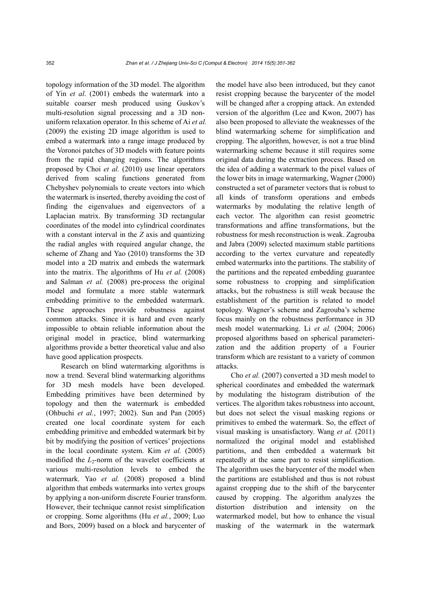topology information of the 3D model. The algorithm of Yin *et al*. (2001) embeds the watermark into a suitable coarser mesh produced using Guskov's multi-resolution signal processing and a 3D nonuniform relaxation operator. In this scheme of Ai *et al.* (2009) the existing 2D image algorithm is used to embed a watermark into a range image produced by the Voronoi patches of 3D models with feature points from the rapid changing regions. The algorithms proposed by Choi *et al.* (2010) use linear operators derived from scaling functions generated from Chebyshev polynomials to create vectors into which the watermark is inserted, thereby avoiding the cost of finding the eigenvalues and eigenvectors of a Laplacian matrix. By transforming 3D rectangular coordinates of the model into cylindrical coordinates with a constant interval in the *Z* axis and quantizing the radial angles with required angular change, the scheme of Zhang and Yao (2010) transforms the 3D model into a 2D matrix and embeds the watermark into the matrix. The algorithms of Hu *et al.* (2008) and Salman *et al.* (2008) pre-process the original model and formulate a more stable watermark embedding primitive to the embedded watermark. These approaches provide robustness against common attacks. Since it is hard and even nearly impossible to obtain reliable information about the original model in practice, blind watermarking algorithms provide a better theoretical value and also have good application prospects.

Research on blind watermarking algorithms is now a trend. Several blind watermarking algorithms for 3D mesh models have been developed. Embedding primitives have been determined by topology and then the watermark is embedded (Ohbuchi *et al.*, 1997; 2002). Sun and Pan (2005) created one local coordinate system for each embedding primitive and embedded watermark bit by bit by modifying the position of vertices' projections in the local coordinate system. Kim *et al.* (2005) modified the  $L_2$ -norm of the wavelet coefficients at various multi-resolution levels to embed the watermark. Yao *et al.* (2008) proposed a blind algorithm that embeds watermarks into vertex groups by applying a non-uniform discrete Fourier transform. However, their technique cannot resist simplification or cropping. Some algorithms (Hu *et al.*, 2009; Luo and Bors, 2009) based on a block and barycenter of the model have also been introduced, but they canot resist cropping because the barycenter of the model will be changed after a cropping attack. An extended version of the algorithm (Lee and Kwon, 2007) has also been proposed to alleviate the weaknesses of the blind watermarking scheme for simplification and cropping. The algorithm, however, is not a true blind watermarking scheme because it still requires some original data during the extraction process. Based on the idea of adding a watermark to the pixel values of the lower bits in image watermarking, Wagner (2000) constructed a set of parameter vectors that is robust to all kinds of transform operations and embeds watermarks by modulating the relative length of each vector. The algorithm can resist geometric transformations and affine transformations, but the robustness for mesh reconstruction is weak. Zagrouba and Jabra (2009) selected maximum stable partitions according to the vertex curvature and repeatedly embed watermarks into the partitions. The stability of the partitions and the repeated embedding guarantee some robustness to cropping and simplification attacks, but the robustness is still weak because the establishment of the partition is related to model topology. Wagner's scheme and Zagrouba's scheme focus mainly on the robustness performance in 3D mesh model watermarking. Li *et al.* (2004; 2006) proposed algorithms based on spherical parameterization and the addition property of a Fourier transform which are resistant to a variety of common attacks.

Cho *et al.* (2007) converted a 3D mesh model to spherical coordinates and embedded the watermark by modulating the histogram distribution of the vertices. The algorithm takes robustness into account, but does not select the visual masking regions or primitives to embed the watermark. So, the effect of visual masking is unsatisfactory. Wang *et al.* (2011) normalized the original model and established partitions, and then embedded a watermark bit repeatedly at the same part to resist simplification. The algorithm uses the barycenter of the model when the partitions are established and thus is not robust against cropping due to the shift of the barycenter caused by cropping. The algorithm analyzes the distortion distribution and intensity on the watermarked model, but how to enhance the visual masking of the watermark in the watermark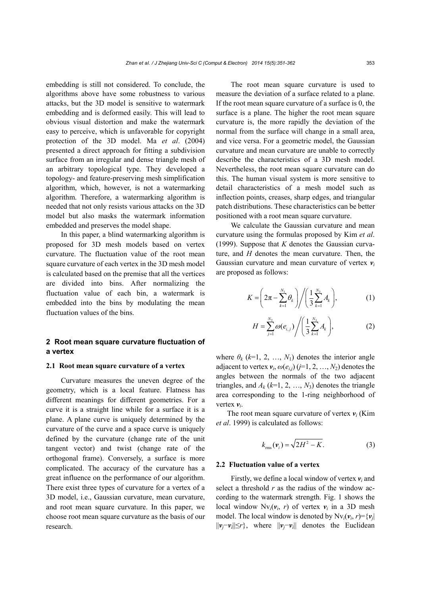embedding is still not considered. To conclude, the algorithms above have some robustness to various attacks, but the 3D model is sensitive to watermark embedding and is deformed easily. This will lead to obvious visual distortion and make the watermark easy to perceive, which is unfavorable for copyright protection of the 3D model. Ma *et al*. (2004) presented a direct approach for fitting a subdivision surface from an irregular and dense triangle mesh of an arbitrary topological type. They developed a topology- and feature-preserving mesh simplification algorithm, which, however, is not a watermarking algorithm. Therefore, a watermarking algorithm is needed that not only resists various attacks on the 3D model but also masks the watermark information embedded and preserves the model shape.

In this paper, a blind watermarking algorithm is proposed for 3D mesh models based on vertex curvature. The fluctuation value of the root mean square curvature of each vertex in the 3D mesh model is calculated based on the premise that all the vertices are divided into bins. After normalizing the fluctuation value of each bin, a watermark is embedded into the bins by modulating the mean fluctuation values of the bins.

# **2 Root mean square curvature fluctuation of a vertex**

#### **2.1 Root mean square curvature of a vertex**

Curvature measures the uneven degree of the geometry, which is a local feature. Flatness has different meanings for different geometries. For a curve it is a straight line while for a surface it is a plane. A plane curve is uniquely determined by the curvature of the curve and a space curve is uniquely defined by the curvature (change rate of the unit tangent vector) and twist (change rate of the orthogonal frame). Conversely, a surface is more complicated. The accuracy of the curvature has a great influence on the performance of our algorithm. There exist three types of curvature for a vertex of a 3D model, i.e., Gaussian curvature, mean curvature, and root mean square curvature. In this paper, we choose root mean square curvature as the basis of our research.

The root mean square curvature is used to measure the deviation of a surface related to a plane. If the root mean square curvature of a surface is 0, the surface is a plane. The higher the root mean square curvature is, the more rapidly the deviation of the normal from the surface will change in a small area, and vice versa. For a geometric model, the Gaussian curvature and mean curvature are unable to correctly describe the characteristics of a 3D mesh model. Nevertheless, the root mean square curvature can do this. The human visual system is more sensitive to detail characteristics of a mesh model such as inflection points, creases, sharp edges, and triangular patch distributions. These characteristics can be better positioned with a root mean square curvature.

We calculate the Gaussian curvature and mean curvature using the formulas proposed by Kim *et al*. (1999). Suppose that *K* denotes the Gaussian curvature, and *H* denotes the mean curvature. Then, the Gaussian curvature and mean curvature of vertex  $v_i$ are proposed as follows:

$$
K = \left(2\pi - \sum_{k=1}^{N_1} \theta_k\right) / \left(\frac{1}{3} \sum_{k=1}^{N_3} A_k\right),
$$
 (1)

$$
H = \sum_{j=1}^{N_2} \omega(e_{i,j}) / \left(\frac{1}{3} \sum_{k=1}^{N_3} A_k\right),
$$
 (2)

where  $\theta_k$  ( $k=1, 2, ..., N_1$ ) denotes the interior angle adjacent to vertex  $v_i$ ,  $\omega(e_{i,j})$  (*j*=1, 2, …, *N*<sub>2</sub>) denotes the angles between the normals of the two adjacent triangles, and  $A_k$  ( $k=1, 2, ..., N_3$ ) denotes the triangle area corresponding to the 1-ring neighborhood of vertex *vi*.

The root mean square curvature of vertex  $v_i$  (Kim *et al*. 1999) is calculated as follows:

$$
k_{\rm rms}(\mathbf{v}_i) = \sqrt{2H^2 - K}.\tag{3}
$$

### **2.2 Fluctuation value of a vertex**

Firstly, we define a local window of vertex  $v_i$  and select a threshold *r* as the radius of the window according to the watermark strength. Fig. 1 shows the local window  $Nv_i(v_i, r)$  of vertex  $v_i$  in a 3D mesh model. The local window is denoted by  $Nv_i(v_i, r) = \{v_i\}$ ||*vj*−*vi*||≤*r*}, where ||*vj*−*vi*|| denotes the Euclidean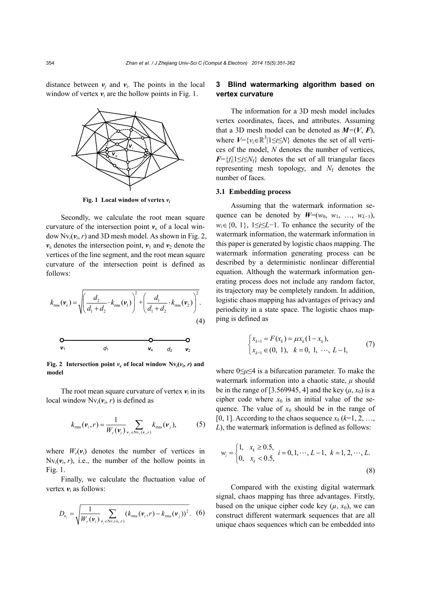distance between  $v_i$  and  $v_i$ . The points in the local window of vertex  $v_i$  are the hollow points in Fig. 1.



*v*e

*vi*

**Fig. 1 Local window of vertex** *vi*

Secondly, we calculate the root mean square curvature of the intersection point  $v_e$  of a local window  $Nv_i(v_i, r)$  and 3D mesh model. As shown in Fig. 2,  $v_e$  denotes the intersection point,  $v_1$  and  $v_2$  denote the vertices of the line segment, and the root mean square curvature of the intersection point is defined as follows:

$$
k_{\rm rms}(\mathbf{v}_{\rm e}) = \sqrt{\left(\frac{d_2}{d_1 + d_2} \cdot k_{\rm rms}(\mathbf{v}_1)\right)^2 + \left(\frac{d_1}{d_1 + d_2} \cdot k_{\rm rms}(\mathbf{v}_2)\right)^2}.
$$
\n
$$
\mathbf{Q}
$$
\n
$$
\mathbf{Q}
$$
\n
$$
\mathbf{Q}
$$
\n
$$
\mathbf{Q}
$$
\n
$$
\mathbf{Q}
$$
\n
$$
\mathbf{Q}
$$
\n
$$
\mathbf{Q}
$$
\n
$$
\mathbf{Q}
$$
\n
$$
\mathbf{Q}
$$
\n
$$
\mathbf{Q}
$$
\n
$$
\mathbf{Q}
$$
\n
$$
\mathbf{Q}
$$
\n
$$
\mathbf{Q}
$$
\n
$$
\mathbf{Q}
$$

**Fig.** 2 **Intersection point**  $v_e$  of **local** window  $Nv_i(v_i, r)$  and **model**

The root mean square curvature of vertex  $v_i$  in its local window  $Nv_i(v_i, r)$  is defined as

$$
k_{\text{rms}}(\mathbf{v}_i, r) = \frac{1}{W_r(\mathbf{v}_i)} \sum_{\mathbf{v}_j \in \text{Nv}_i(\mathbf{v}_i, r)} k_{\text{rms}}(\mathbf{v}_j),
$$
 (5)

where  $W_r(\mathbf{v}_i)$  denotes the number of vertices in  $Nv_i(v_i, r)$ , i.e., the number of the hollow points in Fig. 1.

Finally, we calculate the fluctuation value of vertex  $v_i$  as follows:

$$
D_{v_i} = \sqrt{\frac{1}{W_r(\nu_i)} \sum_{v_j \in \text{Nv}_i(v_i, r)} (k_{\text{rms}}(\nu_i, r) - k_{\text{rms}}(\nu_j))^2}.
$$
 (6)

# **3 Blind watermarking algorithm based on vertex curvature**

The information for a 3D mesh model includes vertex coordinates, faces, and attributes. Assuming that a 3D mesh model can be denoted as  $M=(V, F)$ , where  $V = \{v_i \in \mathbb{R}^3 | 1 \le i \le N\}$  denotes the set of all vertices of the model, *N* denotes the number of vertices,  $F=\{f_i|1\leq i\leq N_f\}$  denotes the set of all triangular faces representing mesh topology, and  $N_f$  denotes the number of faces.

#### **3.1 Embedding process**

Assuming that the watermark information sequence can be denoted by  $W=(w_0, w_1, \ldots, w_{L-1})$ , *w<sub>i</sub>*∈{0, 1}, 1≤*i*≤*L*−1. To enhance the security of the watermark information, the watermark information in this paper is generated by logistic chaos mapping. The watermark information generating process can be described by a deterministic nonlinear differential equation. Although the watermark information generating process does not include any random factor, its trajectory may be completely random. In addition, logistic chaos mapping has advantages of privacy and periodicity in a state space. The logistic chaos mapping is defined as

$$
\begin{cases} x_{k+1} = F(x_k) = \mu x_k (1 - x_k), \\ x_{k+1} \in (0, 1), \quad k = 0, 1, \cdots, L-1, \end{cases}
$$
 (7)

where 0≤*μ*≤4 is a bifurcation parameter. To make the watermark information into a chaotic state, *μ* should be in the range of [3.569945, 4] and the key  $(\mu, x_0)$  is a cipher code where  $x_0$  is an initial value of the sequence. The value of  $x_0$  should be in the range of [0, 1]. According to the chaos sequence  $x_k$  ( $k=1, 2, \ldots$ , *L*), the watermark information is defined as follows:

$$
w_i = \begin{cases} 1, & x_k \ge 0.5, \\ 0, & x_k < 0.5, \end{cases} \quad i = 0, 1, \dots, L-1, \quad k = 1, 2, \dots, L. \tag{8}
$$

Compared with the existing digital watermark signal, chaos mapping has three advantages. Firstly, based on the unique cipher code key  $(\mu, x_0)$ , we can construct different watermark sequences that are all unique chaos sequences which can be embedded into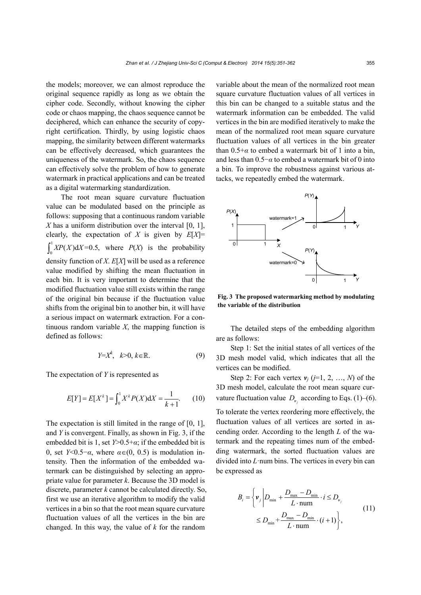the models; moreover, we can almost reproduce the original sequence rapidly as long as we obtain the cipher code. Secondly, without knowing the cipher code or chaos mapping, the chaos sequence cannot be deciphered, which can enhance the security of copyright certification. Thirdly, by using logistic chaos mapping, the similarity between different watermarks can be effectively decreased, which guarantees the uniqueness of the watermark. So, the chaos sequence can effectively solve the problem of how to generate watermark in practical applications and can be treated as a digital watermarking standardization.

The root mean square curvature fluctuation value can be modulated based on the principle as follows: supposing that a continuous random variable *X* has a uniform distribution over the interval [0, 1], clearly, the expectation of *X* is given by *E*[*X*]= 1  $\int_0^1 XP(X) dX = 0.5$ , where  $P(X)$  is the probability density function of *X*. *E*[*X*] will be used as a reference value modified by shifting the mean fluctuation in each bin. It is very important to determine that the modified fluctuation value still exists within the range of the original bin because if the fluctuation value shifts from the original bin to another bin, it will have a serious impact on watermark extraction. For a continuous random variable *X*, the mapping function is defined as follows:

$$
Y = X^k, \quad k > 0, \ k \in \mathbb{R}.
$$

The expectation of *Y* is represented as

$$
E[Y] = E[X^k] = \int_0^1 X^k P(X) dX = \frac{1}{k+1}.
$$
 (10)

The expectation is still limited in the range of [0, 1], and *Y* is convergent. Finally, as shown in Fig. 3, if the embedded bit is 1, set  $Y>0.5+\alpha$ ; if the embedded bit is 0, set *Y*<0.5−*α*, where  $\alpha \in (0, 0.5)$  is modulation intensity. Then the information of the embedded watermark can be distinguished by selecting an appropriate value for parameter *k*. Because the 3D model is discrete, parameter *k* cannot be calculated directly. So, first we use an iterative algorithm to modify the valid vertices in a bin so that the root mean square curvature fluctuation values of all the vertices in the bin are changed. In this way, the value of *k* for the random

variable about the mean of the normalized root mean square curvature fluctuation values of all vertices in this bin can be changed to a suitable status and the watermark information can be embedded. The valid vertices in the bin are modified iteratively to make the mean of the normalized root mean square curvature fluctuation values of all vertices in the bin greater than  $0.5 + \alpha$  to embed a watermark bit of 1 into a bin, and less than 0.5−*α* to embed a watermark bit of 0 into a bin. To improve the robustness against various attacks, we repeatedly embed the watermark.



**Fig. 3 The proposed watermarking method by modulating the variable of the distribution**

The detailed steps of the embedding algorithm are as follows:

Step 1: Set the initial states of all vertices of the 3D mesh model valid, which indicates that all the vertices can be modified.

Step 2: For each vertex  $v_i$  ( $i=1, 2, ..., N$ ) of the 3D mesh model, calculate the root mean square curvature fluctuation value  $D_{\nu}$  according to Eqs. (1)–(6).

To tolerate the vertex reordering more effectively, the fluctuation values of all vertices are sorted in ascending order. According to the length *L* of the watermark and the repeating times num of the embedding watermark, the sorted fluctuation values are divided into *L*·num bins. The vertices in every bin can be expressed as

$$
B_{i} = \left\{ \nu_{j} \middle| D_{\min} + \frac{D_{\max} - D_{\min}}{L \cdot \text{num}} \cdot i \le D_{\nu_{j}} \right\}
$$
  

$$
\le D_{\min} + \frac{D_{\max} - D_{\min}}{L \cdot \text{num}} \cdot (i + 1) \right\},
$$
 (11)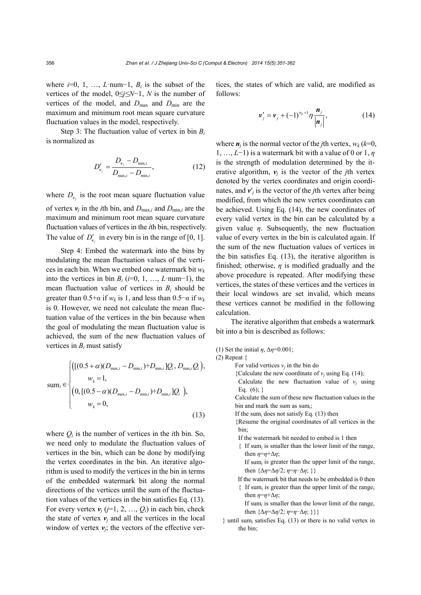where  $i=0, 1, \ldots, L$ ·num−1,  $B_i$  is the subset of the vertices of the model, 0≤*j≤N*−1, *N* is the number of vertices of the model, and  $D_{\text{max}}$  and  $D_{\text{min}}$  are the maximum and minimum root mean square curvature fluctuation values in the model, respectively.

Step 3: The fluctuation value of vertex in bin *Bi* is normalized as

$$
D'_{\nu_j} = \frac{D_{\nu_j} - D_{\min,i}}{D_{\max,i} - D_{\min,i}},
$$
\n(12)

where  $D_{\nu}$  is the root mean square fluctuation value

of vertex  $v_j$  in the *i*th bin, and  $D_{\text{max},i}$  and  $D_{\text{min},i}$  are the maximum and minimum root mean square curvature fluctuation values of vertices in the *i*th bin, respectively. The value of  $D'_{\nu}$  in every bin is in the range of [0, 1].

Step 4: Embed the watermark into the bins by modulating the mean fluctuation values of the vertices in each bin. When we embed one watermark bit *wk* into the vertices in bin *Bi* (*i*=0, 1, …, *L*·num−1), the mean fluctuation value of vertices in  $B_i$  should be greater than  $0.5+\alpha$  if  $w_k$  is 1, and less than  $0.5-\alpha$  if  $w_k$ is 0. However, we need not calculate the mean fluctuation value of the vertices in the bin because when the goal of modulating the mean fluctuation value is achieved, the sum of the new fluctuation values of vertices in *Bi* must satisfy

$$
\text{sum}_{i} \in \begin{cases} \left( [(0.5 + \alpha)(D_{\text{max},i} - D_{\text{min},i}) + D_{\text{min},i}]Q_{i}, D_{\text{max},i}Q_{i} \right), \\ \quad w_{k} = 1, \\ \left( 0, [(0.5 - \alpha)(D_{\text{max},i} - D_{\text{min},i}) + D_{\text{min},i}]Q_{i} \right), \\ \quad w_{k} = 0, \end{cases} \tag{13}
$$

where  $Q_i$  is the number of vertices in the *i*th bin. So, we need only to modulate the fluctuation values of vertices in the bin, which can be done by modifying the vertex coordinates in the bin. An iterative algorithm is used to modify the vertices in the bin in terms of the embedded watermark bit along the normal directions of the vertices until the sum of the fluctuation values of the vertices in the bin satisfies Eq. (13). For every vertex  $v_i$  ( $i=1, 2, ..., Q_i$ ) in each bin, check the state of vertex  $v_i$  and all the vertices in the local window of vertex  $v_i$ ; the vectors of the effective vertices, the states of which are valid, are modified as follows:

$$
\mathbf{v}'_j = \mathbf{v}_j + (-1)^{w_k+1} \eta \frac{\mathbf{n}_j}{|\mathbf{n}_j|},
$$
 (14)

where  $\boldsymbol{n}_i$  is the normal vector of the *j*th vertex,  $w_k$  ( $k=0$ , 1, …, *L*−1) is a watermark bit with a value of 0 or 1, *η* is the strength of modulation determined by the iterative algorithm,  $v_i$  is the vector of the *j*th vertex denoted by the vertex coordinates and origin coordinates, and  $v'$  is the vector of the *j*th vertex after being modified, from which the new vertex coordinates can be achieved. Using Eq. (14), the new coordinates of every valid vertex in the bin can be calculated by a given value *η*. Subsequently, the new fluctuation value of every vertex in the bin is calculated again. If the sum of the new fluctuation values of vertices in the bin satisfies Eq. (13), the iterative algorithm is finished; otherwise,  $\eta$  is modified gradually and the above procedure is repeated. After modifying these vertices, the states of these vertices and the vertices in their local windows are set invalid, which means these vertices cannot be modified in the following calculation.

The iterative algorithm that embeds a watermark bit into a bin is described as follows:

(1) Set the initial *η*, Δ*η*=0.001;

- (2) Repeat {
	- For valid vertices  $v_j$  in the bin do
		- {Calculate the new coordinate of  $v_i$  using Eq. (14);
		- Calculate the new fluctuation value of  $v_i$  using Eq.  $(6)$ ; }
		- Calculate the sum of these new fluctuation values in the bin and mark the sum as sum*i*;
	- If the sum*i* does not satisfy Eq. (13) then
	- {Resume the original coordinates of all vertices in the bin;
	- If the watermark bit needed to embed is 1 then
	- { If sum*i* is smaller than the lower limit of the range, then  $\eta = \eta + \Delta \eta$ ;

If sum*i* is greater than the upper limit of the range, then  $\{\Delta \eta = \Delta \eta/2; \eta = \eta - \Delta \eta; \}$ 

- If the watermark bit that needs to be embedded is 0 then
- { If sum*i* is greater than the upper limit of the range, then  $\eta = \eta + \Delta \eta$ ;

If sum*<sup>i</sup>* is smaller than the lower limit of the range, then  $\{\Delta \eta = \Delta \eta/2; \eta = \eta - \Delta \eta; \}$ }

} until sum*i* satisfies Eq. (13) or there is no valid vertex in the bin;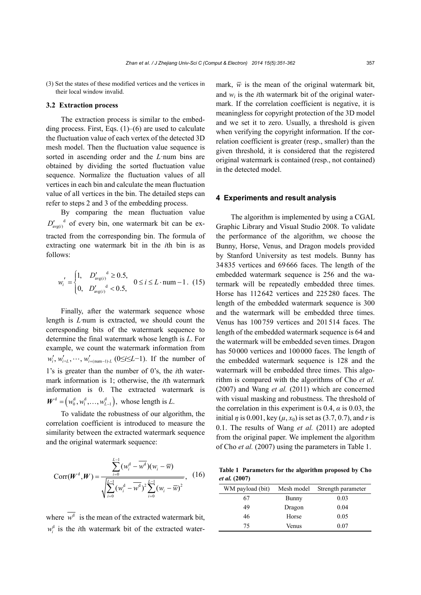(3) Set the states of these modified vertices and the vertices in their local window invalid.

### **3.2 Extraction process**

The extraction process is similar to the embedding process. First, Eqs.  $(1)$ – $(6)$  are used to calculate the fluctuation value of each vertex of the detected 3D mesh model. Then the fluctuation value sequence is sorted in ascending order and the *L*·num bins are obtained by dividing the sorted fluctuation value sequence. Normalize the fluctuation values of all vertices in each bin and calculate the mean fluctuation value of all vertices in the bin. The detailed steps can refer to steps 2 and 3 of the embedding process.

By comparing the mean fluctuation value  $D'_{\text{avof}}$ <sup>d</sup> of every bin, one watermark bit can be extracted from the corresponding bin. The formula of extracting one watermark bit in the *i*th bin is as follows:

$$
w_i' = \begin{cases} 1, & D_{\text{avg}(i)}^{\prime} \ge 0.5, \\ 0, & D_{\text{avg}(i)}^{\prime} < 0.5, \end{cases} \quad 0 \le i \le L \cdot \text{num} - 1. \tag{15}
$$

Finally, after the watermark sequence whose length is *L·*num is extracted, we should count the corresponding bits of the watermark sequence to determine the final watermark whose length is *L*. For example, we count the watermark information from  $w'_i, w'_{i+L}, \dots, w'_{i+({\text{num}}-1), L}$  (0≤*i*≤*L*−1). If the number of 1's is greater than the number of 0's, the *i*th watermark information is 1; otherwise, the *i*th watermark information is 0. The extracted watermark is  $W^d = (w_0^d, w_1^d, \dots, w_{L-1}^d)$ , whose length is *L*.

To validate the robustness of our algorithm, the correlation coefficient is introduced to measure the similarity between the extracted watermark sequence and the original watermark sequence:

$$
Corr(\boldsymbol{W}^{d}, \boldsymbol{W}) = \frac{\sum_{i=0}^{L-1} (w_{i}^{d} - \overline{w^{d}})(w_{i} - \overline{w})}{\sqrt{\sum_{i=0}^{L-1} (w_{i}^{d} - \overline{w^{d}})^{2} \sum_{i=0}^{L-1} (w_{i} - \overline{w})^{2}}},
$$
 (16)

where  $\overline{w^d}$  is the mean of the extracted watermark bit,  $w_i^d$  is the *i*th watermark bit of the extracted watermark,  $\overline{w}$  is the mean of the original watermark bit, and  $w_i$  is the *i*th watermark bit of the original watermark. If the correlation coefficient is negative, it is meaningless for copyright protection of the 3D model and we set it to zero. Usually, a threshold is given when verifying the copyright information. If the correlation coefficient is greater (resp., smaller) than the given threshold, it is considered that the registered original watermark is contained (resp., not contained) in the detected model.

#### **4 Experiments and result analysis**

The algorithm is implemented by using a CGAL Graphic Library and Visual Studio 2008. To validate the performance of the algorithm, we choose the Bunny, Horse, Venus, and Dragon models provided by Stanford University as test models. Bunny has 34835 vertices and 69666 faces. The length of the embedded watermark sequence is 256 and the watermark will be repeatedly embedded three times. Horse has 112642 vertices and 225280 faces. The length of the embedded watermark sequence is 300 and the watermark will be embedded three times. Venus has 100759 vertices and 201514 faces. The length of the embedded watermark sequence is 64 and the watermark will be embedded seven times. Dragon has 50000 vertices and 100000 faces. The length of the embedded watermark sequence is 128 and the watermark will be embedded three times. This algorithm is compared with the algorithms of Cho *et al.* (2007) and Wang *et al.* (2011) which are concerned with visual masking and robustness. The threshold of the correlation in this experiment is 0.4,  $\alpha$  is 0.03, the initial *η* is 0.001, key ( $\mu$ ,  $x_0$ ) is set as (3.7, 0.7), and *r* is 0.1. The results of Wang *et al.* (2011) are adopted from the original paper. We implement the algorithm of Cho *et al.* (2007) using the parameters in Table 1.

**Table 1 Parameters for the algorithm proposed by Cho**  *et al.* **(2007)** 

| WM payload (bit) | Mesh model | Strength parameter |
|------------------|------------|--------------------|
| 67               | Bunny      | 0.03               |
| 49               | Dragon     | 0.04               |
| 46               | Horse      | 0.05               |
| 75               | Venus      | 0.07               |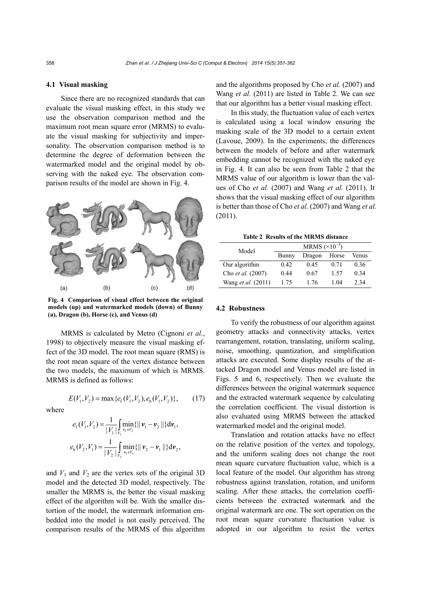#### **4.1 Visual masking**

Since there are no recognized standards that can evaluate the visual masking effect, in this study we use the observation comparison method and the maximum root mean square error (MRMS) to evaluate the visual masking for subjectivity and impersonality. The observation comparison method is to determine the degree of deformation between the watermarked model and the original model by observing with the naked eye. The observation comparison results of the model are shown in Fig. 4.



**Fig. 4 Comparison of visual effect between the original models (up) and watermarked models (down) of Bunny (a), Dragon (b), Horse (c), and Venus (d)**

MRMS is calculated by Metro (Cignoni *et al.*, 1998) to objectively measure the visual masking effect of the 3D model. The root mean square (RMS) is the root mean square of the vertex distance between the two models, the maximum of which is MRMS. MRMS is defined as follows:

$$
E(V_1, V_2) = \max \{e_f(V_1, V_2), e_b(V_1, V_2)\},\tag{17}
$$

where

$$
e_{\rm f}(V_1, V_2) = \frac{1}{|V_1|} \int_{V_1} \min_{\mathbf{v}_2 \in V_2} {\{||\mathbf{v}_1 - \mathbf{v}_2||\} d\mathbf{v}_1},
$$
  

$$
e_{\rm b}(V_2, V_1) = \frac{1}{|V_2|} \int_{V_2} \min_{\mathbf{v}_1 \in V_1} {\{||\mathbf{v}_2 - \mathbf{v}_1||\} d\mathbf{v}_2},
$$

and  $V_1$  and  $V_2$  are the vertex sets of the original 3D model and the detected 3D model, respectively. The smaller the MRMS is, the better the visual masking effect of the algorithm will be. With the smaller distortion of the model, the watermark information embedded into the model is not easily perceived. The comparison results of the MRMS of this algorithm and the algorithms proposed by Cho *et al.* (2007) and Wang *et al.* (2011) are listed in Table 2. We can see that our algorithm has a better visual masking effect.

In this study, the fluctuation value of each vertex is calculated using a local window ensuring the masking scale of the 3D model to a certain extent (Lavoue, 2009). In the experiments, the differences between the models of before and after watermark embedding cannot be recognized with the naked eye in Fig. 4. It can also be seen from Table 2 that the MRMS value of our algorithm is lower than the values of Cho *et al.* (2007) and Wang *et al.* (2011). It shows that the visual masking effect of our algorithm is better than those of Cho *et al.* (2007) and Wang *et al.* (2011).

**Table 2 Results of the MRMS distance** 

| Model                     | MRMS $(\times 10^{-3})$ |        |       |       |  |  |  |
|---------------------------|-------------------------|--------|-------|-------|--|--|--|
|                           | Bunny                   | Dragon | Horse | Venus |  |  |  |
| Our algorithm             | 0.42                    | 0.45   | 0.71  | 0.36  |  |  |  |
| Cho et al. (2007)         | 0.44                    | 0.67   | 1.57  | 0.34  |  |  |  |
| Wang <i>et al.</i> (2011) | 1.75                    | 1 76   | 104   | 2.34  |  |  |  |

### **4.2 Robustness**

To verify the robustness of our algorithm against geometry attacks and connectivity attacks, vertex rearrangement, rotation, translating, uniform scaling, noise, smoothing, quantization, and simplification attacks are executed. Some display results of the attacked Dragon model and Venus model are listed in Figs. 5 and 6, respectively. Then we evaluate the differences between the original watermark sequence and the extracted watermark sequence by calculating the correlation coefficient. The visual distortion is also evaluated using MRMS between the attacked watermarked model and the original model.

Translation and rotation attacks have no effect on the relative position of the vertex and topology, and the uniform scaling does not change the root mean square curvature fluctuation value, which is a local feature of the model. Our algorithm has strong robustness against translation, rotation, and uniform scaling. After these attacks, the correlation coefficients between the extracted watermark and the original watermark are one. The sort operation on the root mean square curvature fluctuation value is adopted in our algorithm to resist the vertex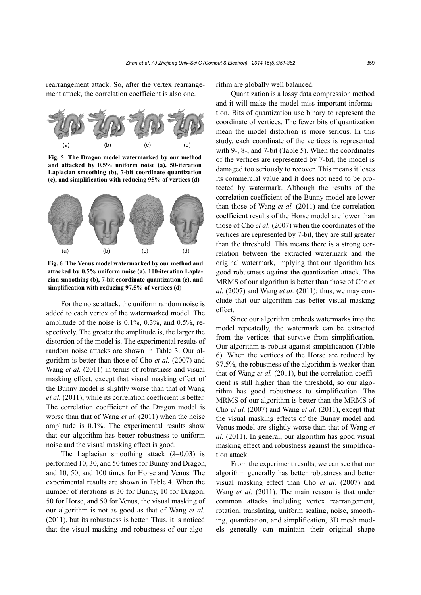rearrangement attack. So, after the vertex rearrangement attack, the correlation coefficient is also one.



**Fig. 5 The Dragon model watermarked by our method and attacked by 0.5% uniform noise (a), 50-iteration Laplacian smoothing (b), 7-bit coordinate quantization (c), and simplification with reducing 95% of vertices (d)**



**Fig. 6 The Venus model watermarked by our method and attacked by 0.5% uniform noise (a), 100-iteration Laplacian smoothing (b), 7-bit coordinate quantization (c), and simplification with reducing 97.5% of vertices (d)**

For the noise attack, the uniform random noise is added to each vertex of the watermarked model. The amplitude of the noise is  $0.1\%$ ,  $0.3\%$ , and  $0.5\%$ , respectively. The greater the amplitude is, the larger the distortion of the model is. The experimental results of random noise attacks are shown in Table 3. Our algorithm is better than those of Cho *et al.* (2007) and Wang *et al.* (2011) in terms of robustness and visual masking effect, except that visual masking effect of the Bunny model is slightly worse than that of Wang *et al.* (2011), while its correlation coefficient is better. The correlation coefficient of the Dragon model is worse than that of Wang *et al.* (2011) when the noise amplitude is 0.1%. The experimental results show that our algorithm has better robustness to uniform noise and the visual masking effect is good.

The Laplacian smoothing attack  $(\lambda=0.03)$  is performed 10, 30, and 50 times for Bunny and Dragon, and 10, 50, and 100 times for Horse and Venus. The experimental results are shown in Table 4. When the number of iterations is 30 for Bunny, 10 for Dragon, 50 for Horse, and 50 for Venus, the visual masking of our algorithm is not as good as that of Wang *et al.* (2011), but its robustness is better. Thus, it is noticed that the visual masking and robustness of our algorithm are globally well balanced.

Quantization is a lossy data compression method and it will make the model miss important information. Bits of quantization use binary to represent the coordinate of vertices. The fewer bits of quantization mean the model distortion is more serious. In this study, each coordinate of the vertices is represented with 9-, 8-, and 7-bit (Table 5). When the coordinates of the vertices are represented by 7-bit, the model is damaged too seriously to recover. This means it loses its commercial value and it does not need to be protected by watermark. Although the results of the correlation coefficient of the Bunny model are lower than those of Wang *et al.* (2011) and the correlation coefficient results of the Horse model are lower than those of Cho *et al.* (2007) when the coordinates of the vertices are represented by 7-bit, they are still greater than the threshold. This means there is a strong correlation between the extracted watermark and the original watermark, implying that our algorithm has good robustness against the quantization attack. The MRMS of our algorithm is better than those of Cho *et al.* (2007) and Wang *et al.* (2011); thus, we may conclude that our algorithm has better visual masking effect.

Since our algorithm embeds watermarks into the model repeatedly, the watermark can be extracted from the vertices that survive from simplification. Our algorithm is robust against simplification (Table 6). When the vertices of the Horse are reduced by 97.5%, the robustness of the algorithm is weaker than that of Wang *et al.* (2011), but the correlation coefficient is still higher than the threshold, so our algorithm has good robustness to simplification. The MRMS of our algorithm is better than the MRMS of Cho *et al.* (2007) and Wang *et al.* (2011), except that the visual masking effects of the Bunny model and Venus model are slightly worse than that of Wang *et al.* (2011). In general, our algorithm has good visual masking effect and robustness against the simplification attack.

From the experiment results, we can see that our algorithm generally has better robustness and better visual masking effect than Cho *et al.* (2007) and Wang *et al.* (2011). The main reason is that under common attacks including vertex rearrangement, rotation, translating, uniform scaling, noise, smoothing, quantization, and simplification, 3D mesh models generally can maintain their original shape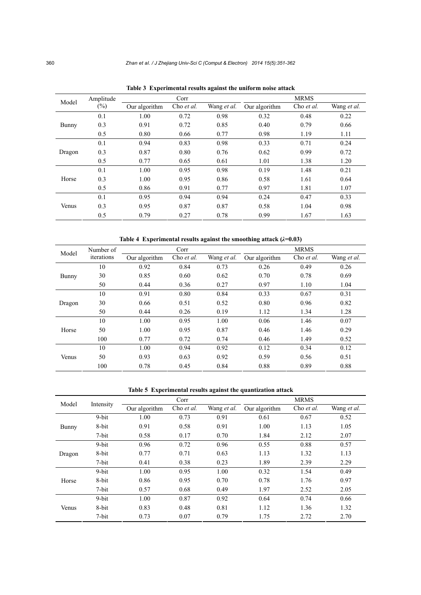| Model  | Amplitude | Corr          |            |                    | <b>MRMS</b>   |            |             |
|--------|-----------|---------------|------------|--------------------|---------------|------------|-------------|
|        | $(\%)$    | Our algorithm | Cho et al. | Wang <i>et al.</i> | Our algorithm | Cho et al. | Wang et al. |
|        | 0.1       | 1.00          | 0.72       | 0.98               | 0.32          | 0.48       | 0.22        |
| Bunny  | 0.3       | 0.91          | 0.72       | 0.85               | 0.40          | 0.79       | 0.66        |
|        | 0.5       | 0.80          | 0.66       | 0.77               | 0.98          | 1.19       | 1.11        |
| Dragon | 0.1       | 0.94          | 0.83       | 0.98               | 0.33          | 0.71       | 0.24        |
|        | 0.3       | 0.87          | 0.80       | 0.76               | 0.62          | 0.99       | 0.72        |
|        | 0.5       | 0.77          | 0.65       | 0.61               | 1.01          | 1.38       | 1.20        |
|        | 0.1       | 1.00          | 0.95       | 0.98               | 0.19          | 1.48       | 0.21        |
| Horse  | 0.3       | 1.00          | 0.95       | 0.86               | 0.58          | 1.61       | 0.64        |
|        | 0.5       | 0.86          | 0.91       | 0.77               | 0.97          | 1.81       | 1.07        |
| Venus  | 0.1       | 0.95          | 0.94       | 0.94               | 0.24          | 0.47       | 0.33        |
|        | 0.3       | 0.95          | 0.87       | 0.87               | 0.58          | 1.04       | 0.98        |
|        | 0.5       | 0.79          | 0.27       | 0.78               | 0.99          | 1.67       | 1.63        |

**Table 3 Experimental results against the uniform noise attack** 

**Table 4 Experimental results against the smoothing attack (***λ***=0.03)** 

| Model  | Number of  |               | Corr       |                    | <b>MRMS</b>   |            |             |  |
|--------|------------|---------------|------------|--------------------|---------------|------------|-------------|--|
|        | iterations | Our algorithm | Cho et al. | Wang <i>et al.</i> | Our algorithm | Cho et al. | Wang et al. |  |
|        | 10         | 0.92          | 0.84       | 0.73               | 0.26          | 0.49       | 0.26        |  |
| Bunny  | 30         | 0.85          | 0.60       | 0.62               | 0.70          | 0.78       | 0.69        |  |
|        | 50         | 0.44          | 0.36       | 0.27               | 0.97          | 1.10       | 1.04        |  |
| Dragon | 10         | 0.91          | 0.80       | 0.84               | 0.33          | 0.67       | 0.31        |  |
|        | 30         | 0.66          | 0.51       | 0.52               | 0.80          | 0.96       | 0.82        |  |
|        | 50         | 0.44          | 0.26       | 0.19               | 1.12          | 1.34       | 1.28        |  |
| Horse  | 10         | 1.00          | 0.95       | 1.00               | 0.06          | 1.46       | 0.07        |  |
|        | 50         | 1.00          | 0.95       | 0.87               | 0.46          | 1.46       | 0.29        |  |
|        | 100        | 0.77          | 0.72       | 0.74               | 0.46          | 1.49       | 0.52        |  |
| Venus  | 10         | 1.00          | 0.94       | 0.92               | 0.12          | 0.34       | 0.12        |  |
|        | 50         | 0.93          | 0.63       | 0.92               | 0.59          | 0.56       | 0.51        |  |
|        | 100        | 0.78          | 0.45       | 0.84               | 0.88          | 0.89       | 0.88        |  |

**Table 5 Experimental results against the quantization attack** 

| Model  | Intensity | Corr          |            |                    | <b>MRMS</b>   |            |             |
|--------|-----------|---------------|------------|--------------------|---------------|------------|-------------|
|        |           | Our algorithm | Cho et al. | Wang <i>et al.</i> | Our algorithm | Cho et al. | Wang et al. |
|        | 9-bit     | 1.00          | 0.73       | 0.91               | 0.61          | 0.67       | 0.52        |
| Bunny  | 8-bit     | 0.91          | 0.58       | 0.91               | 1.00          | 1.13       | 1.05        |
|        | 7-bit     | 0.58          | 0.17       | 0.70               | 1.84          | 2.12       | 2.07        |
| Dragon | 9-bit     | 0.96          | 0.72       | 0.96               | 0.55          | 0.88       | 0.57        |
|        | 8-bit     | 0.77          | 0.71       | 0.63               | 1.13          | 1.32       | 1.13        |
|        | 7-bit     | 0.41          | 0.38       | 0.23               | 1.89          | 2.39       | 2.29        |
| Horse  | 9-bit     | 1.00          | 0.95       | 1.00               | 0.32          | 1.54       | 0.49        |
|        | 8-bit     | 0.86          | 0.95       | 0.70               | 0.78          | 1.76       | 0.97        |
|        | 7-bit     | 0.57          | 0.68       | 0.49               | 1.97          | 2.52       | 2.05        |
| Venus  | 9-bit     | 1.00          | 0.87       | 0.92               | 0.64          | 0.74       | 0.66        |
|        | 8-bit     | 0.83          | 0.48       | 0.81               | 1.12          | 1.36       | 1.32        |
|        | 7-bit     | 0.73          | 0.07       | 0.79               | 1.75          | 2.72       | 2.70        |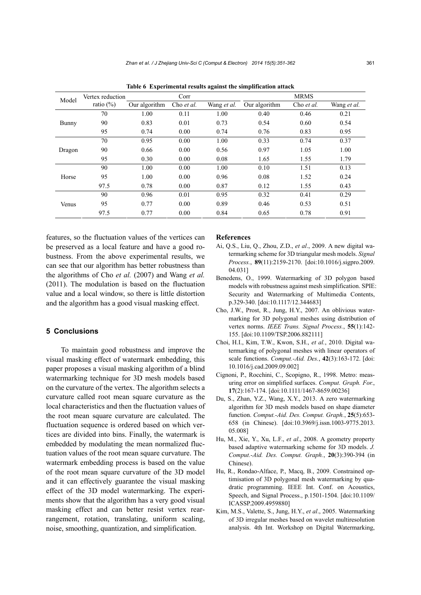| Model  | Vertex reduction | Corr          |            |                    | <b>MRMS</b>   |            |             |
|--------|------------------|---------------|------------|--------------------|---------------|------------|-------------|
|        | ratio $(\% )$    | Our algorithm | Cho et al. | Wang <i>et al.</i> | Our algorithm | Cho et al. | Wang et al. |
|        | 70               | 1.00          | 0.11       | 1.00               | 0.40          | 0.46       | 0.21        |
| Bunny  | 90               | 0.83          | 0.01       | 0.73               | 0.54          | 0.60       | 0.54        |
|        | 95               | 0.74          | 0.00       | 0.74               | 0.76          | 0.83       | 0.95        |
| Dragon | 70               | 0.95          | 0.00       | 1.00               | 0.33          | 0.74       | 0.37        |
|        | 90               | 0.66          | 0.00       | 0.56               | 0.97          | 1.05       | 1.00        |
|        | 95               | 0.30          | 0.00       | 0.08               | 1.65          | 1.55       | 1.79        |
|        | 90               | 1.00          | 0.00       | 1.00               | 0.10          | 1.51       | 0.13        |
| Horse  | 95               | 1.00          | 0.00       | 0.96               | 0.08          | 1.52       | 0.24        |
|        | 97.5             | 0.78          | 0.00       | 0.87               | 0.12          | 1.55       | 0.43        |
| Venus  | 90               | 0.96          | 0.01       | 0.95               | 0.32          | 0.41       | 0.29        |
|        | 95               | 0.77          | 0.00       | 0.89               | 0.46          | 0.53       | 0.51        |
|        | 97.5             | 0.77          | 0.00       | 0.84               | 0.65          | 0.78       | 0.91        |

**Table 6 Experimental results against the simplification attack** 

features, so the fluctuation values of the vertices can be preserved as a local feature and have a good robustness. From the above experimental results, we can see that our algorithm has better robustness than the algorithms of Cho *et al.* (2007) and Wang *et al.* (2011). The modulation is based on the fluctuation value and a local window, so there is little distortion and the algorithm has a good visual masking effect.

## **5 Conclusions**

To maintain good robustness and improve the visual masking effect of watermark embedding, this paper proposes a visual masking algorithm of a blind watermarking technique for 3D mesh models based on the curvature of the vertex. The algorithm selects a curvature called root mean square curvature as the local characteristics and then the fluctuation values of the root mean square curvature are calculated. The fluctuation sequence is ordered based on which vertices are divided into bins. Finally, the watermark is embedded by modulating the mean normalized fluctuation values of the root mean square curvature. The watermark embedding process is based on the value of the root mean square curvature of the 3D model and it can effectively guarantee the visual masking effect of the 3D model watermarking. The experiments show that the algorithm has a very good visual masking effect and can better resist vertex rearrangement, rotation, translating, uniform scaling, noise, smoothing, quantization, and simplification.

#### **References**

- Ai, Q.S., Liu, Q., Zhou, Z.D., *et al*., 2009. A new digital watermarking scheme for 3D triangular mesh models. *Signal Process.*, **89**(11):2159-2170. [doi:10.1016/j.sigpro.2009. 04.031]
- Benedens, O., 1999. Watermarking of 3D polygon based models with robustness against mesh simplification. SPIE: Security and Watermarking of Multimedia Contents, p.329-340. [doi:10.1117/12.344683]
- Cho, J.W., Prost, R., Jung, H.Y., 2007. An oblivious watermarking for 3D polygonal meshes using distribution of vertex norms. *IEEE Trans. Signal Process.*, **55**(1):142- 155. [doi:10.1109/TSP.2006.882111]
- Choi, H.I., Kim, T.W., Kwon, S.H., *et al.*, 2010. Digital watermarking of polygonal meshes with linear operators of scale functions. *Comput.-Aid. Des.*, **42**(3):163-172. [doi: 10.1016/j.cad.2009.09.002]
- Cignoni, P., Rocchini, C., Scopigno, R., 1998. Metro: measuring error on simplified surfaces. *Comput. Graph. For.*, **17**(2):167-174. [doi:10.1111/1467-8659.00236]
- Du, S., Zhan, Y.Z., Wang, X.Y., 2013. A zero watermarking algorithm for 3D mesh models based on shape diameter function. *Comput.-Aid. Des. Comput. Graph.*, **25**(5):653- 658 (in Chinese). [doi:10.3969/j.issn.1003-9775.2013. 05.008]
- Hu, M., Xie, Y., Xu, L.F., *et al*., 2008. A geometry property based adaptive watermarking scheme for 3D models. *J. Comput.-Aid. Des. Comput. Graph.*, **20**(3):390-394 (in Chinese).
- Hu, R., Rondao-Alface, P., Macq, B., 2009. Constrained optimisation of 3D polygonal mesh watermarking by quadratic programming. IEEE Int. Conf. on Acoustics, Speech, and Signal Process., p.1501-1504. [doi:10.1109/ ICASSP.2009.4959880]
- Kim, M.S., Valette, S., Jung, H.Y., *et al*., 2005. Watermarking of 3D irregular meshes based on wavelet multiresolution analysis. 4th Int. Workshop on Digital Watermarking,